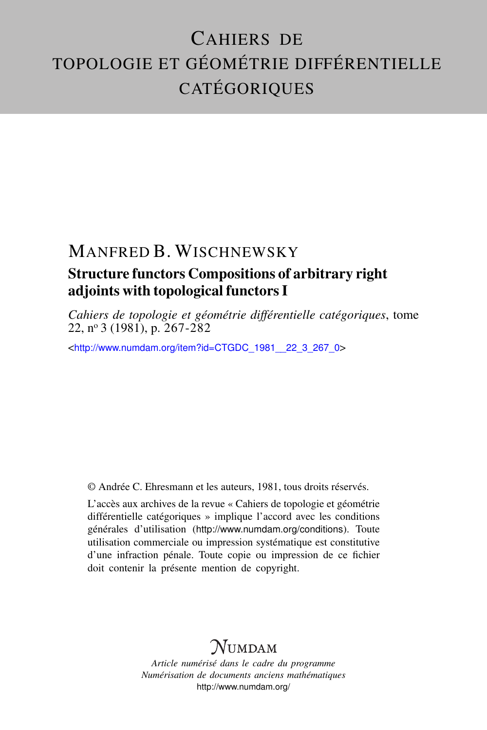# CAHIERS DE TOPOLOGIE ET GÉOMÉTRIE DIFFÉRENTIELLE **CATÉGORIQUES**

### MANFRED B. WISCHNEWSKY

## Structure functors Compositions of arbitrary right adjoints with topological functors I

*Cahiers de topologie et géométrie différentielle catégoriques*, tome 22, n<sup>o</sup> 3 (1981), p. 267-282

<[http://www.numdam.org/item?id=CTGDC\\_1981\\_\\_22\\_3\\_267\\_0](http://www.numdam.org/item?id=CTGDC_1981__22_3_267_0)>

© Andrée C. Ehresmann et les auteurs, 1981, tous droits réservés.

L'accès aux archives de la revue « Cahiers de topologie et géométrie différentielle catégoriques » implique l'accord avec les conditions générales d'utilisation (<http://www.numdam.org/conditions>). Toute utilisation commerciale ou impression systématique est constitutive d'une infraction pénale. Toute copie ou impression de ce fichier doit contenir la présente mention de copyright.

## **NUMDAM**

*Article numérisé dans le cadre du programme Numérisation de documents anciens mathématiques* <http://www.numdam.org/>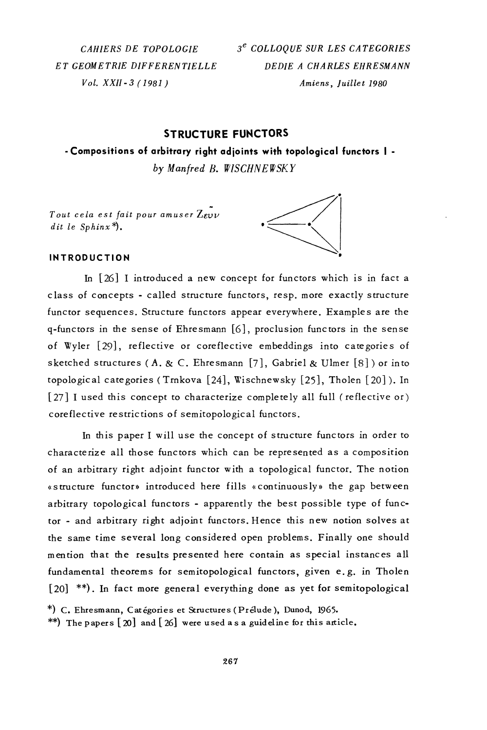CAHIERS DE TOPOLOGIE ET GEOMETRIE DIFFERENTIELLE  $Vol. XXII - 3 (1981)$ 

3<sup>e</sup> COLLOOUE SUR LES CATEGORIES DEDIE A CHARLES EHRESMANN Amiens, Juillet 1980

#### **STRUCTURE FUNCTORS**

# - Compositions of arbitrary right adjoints with topological functors | -

by Manfred B. WISCHNEWSKY

Tout cela est fait pour amuser  $Z_{\mathcal{E} \mathcal{V} \mathcal{V}}$ dit le Sphin $x^*$ .



#### **INTRODUCTION**

In [26] I introduced a new concept for functors which is in fact a class of concepts - called structure functors, resp. more exactly structure functor sequences. Structure functors appear everywhere. Examples are the q-functors in the sense of Ehresmann [6], proclusion functors in the sense of Wyler [29], reflective or coreflective embeddings into categories of sketched structures (A. & C. Ehresmann [7], Gabriel & Ulmer [8]) or into topological categories (Trnkova [24], Wischnewsky [25], Tholen [20]). In [27] I used this concept to characterize completely all full (reflective or) coreflective restrictions of semitopological functors.

In this paper I will use the concept of structure functors in order to characterize all those functors which can be represented as a composition of an arbitrary right adjoint functor with a topological functor. The notion «structure functor» introduced here fills «continuously» the gap between arbitrary topological functors - apparently the best possible type of functor - and arbitrary right adjoint functors. Hence this new notion solves at the same time several long considered open problems. Finally one should mention that the results presented here contain as special instances all fundamental theorems for semitopological functors, given e.g. in Tholen [20] \*\*). In fact more general everything done as yet for semitopological

\*) C. Ehresmann, Catégories et Structures (Prélude), Dunod, 1965.

\*\*) The papers  $\lceil 20 \rceil$  and  $\lceil 26 \rceil$  were used as a guideline for this article.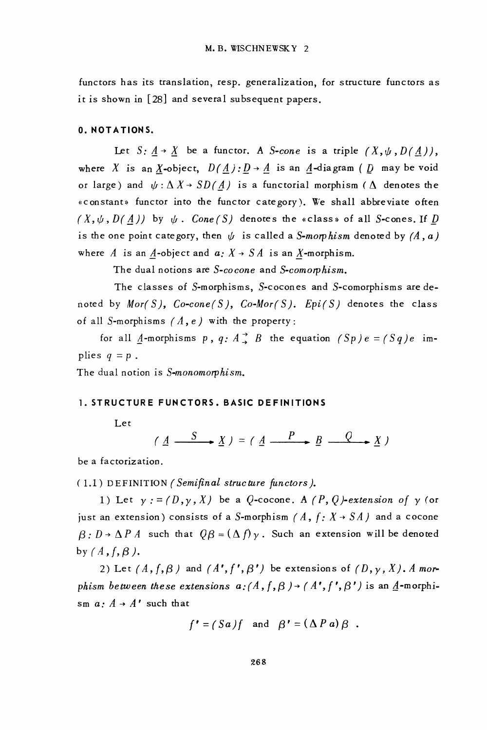functors has its translation, resp. generalization, for structure functors as it is shown in [28] and several subsequent papers.

#### 0. NOTATIONS.

Let  $S: A \rightarrow X$  be a functor. A *S-cone* is a triple  $(X, \psi, D(A)),$ where X is an X-object,  $D(\underline{A}): \underline{D} \rightarrow \underline{A}$  is an  $\underline{A}$ -diagram ( $\underline{D}$  may be void or large) and  $\psi : \Delta X \rightarrow SD(A)$  is a functorial morphism ( $\Delta$  denotes the «constant» functor into the functor category). We shall abbreviate often  $(X, \psi, D(A))$  by  $\psi$ . Cone(S) denotes the «class» of all S-cones. If D is the one point category, then  $\psi$  is called a S-morphism denoted by (A, a) where A is an A-object and  $a: X \rightarrow SA$  is an X-morphism.

The dual notions are S-cocone and S-comorphism.

The classes of S-morphisms, S-cocones and S-comorphisms are denoted by Mor(S),  $Co\text{-}cone(S)$ ,  $Co\text{-}Mor(S)$ . Epi(S) denotes the class of all S-morphisms  $(A, e)$  with the property:

for all A-morphisms p, q:  $A \stackrel{\rightarrow}{\rightarrow} B$  the equation  $(Sp)e = (Sq)e$  implies  $q = p$ .

The dual notion is S-monomorphism.

#### 1. STRUCTURE FUNCTORS, BASIC DEFINITIONS

Let

 $(A \xrightarrow{S} X) = (A \xrightarrow{P} B \xrightarrow{Q} X)$ 

be a factorization.

(1.1) DEFINITION (Semifinal structure functors).

1) Let  $y := (D, y, X)$  be a Q-cocone. A  $(P, Q)$ -extension of y (or just an extension) consists of a S-morphism  $(A, f: X \rightarrow SA)$  and a cocone  $\beta: D \to \Delta P A$  such that  $Q\beta = (\Delta f)\gamma$ . Such an extension will be denoted by  $(A, f, \beta)$ .

2) Let  $(A, f, \beta)$  and  $(A', f', \beta')$  be extensions of  $(D, y, X)$ . A morphism between these extensions  $a:(A, f, \beta) \rightarrow (A', f', \beta')$  is an  $\underline{A}$ -morphism  $a: A \rightarrow A'$  such that

$$
f' = (Sa)f
$$
 and  $\beta' = (\Delta Pa) \beta$ .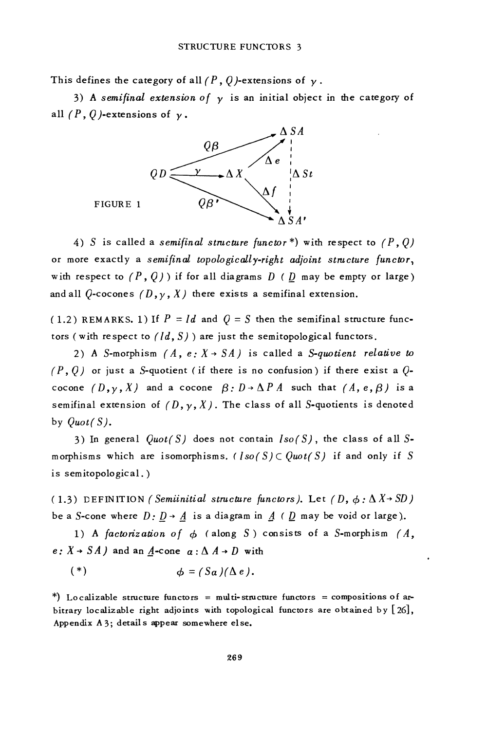This defines the category of all  $(P, 0)$ -extensions of  $\nu$ .

3) A semifinal extension of  $\nu$  is an initial object in the category of all  $(P, Q)$ -extensions of  $y$ .



4) S is called a semifinal structure functor\*) with respect to  $(P, Q)$ or more exactly a semifinal topologically-right adjoint structure functor, with respect to  $(P, Q)$  if for all diagrams  $D$  (  $D$  may be empty or large) and all  $Q$ -cocones  $(D, \gamma, X)$  there exists a semifinal extension.

(1.2) REMARKS. 1) If  $P = Id$  and  $Q = S$  then the semifinal structure functors (with respect to  $(Id, S)$ ) are just the semitopological functors.

2) A S-morphism  $(A, e: X \rightarrow SA)$  is called a S-quotient relative to  $(P, Q)$  or just a S-quotient (if there is no confusion) if there exist a  $Q$ cocone  $(D, y, X)$  and a cocone  $\beta: D \rightarrow \Delta P A$  such that  $(A, e, \beta)$  is a semifinal extension of  $(D, \gamma, X)$ . The class of all S-quotients is denoted by  $Quot(S)$ .

3) In general  $Quot(S)$  does not contain  $Iso(S)$ , the class of all Smorphisms which are isomorphisms. ([so(S]  $C$  Quot(S) if and only if S is semitopological.)

(1.3) DEFINITION (Semiinitial structure functors). Let (D,  $\phi : \Delta X \rightarrow SD$ ) be a S-cone where  $D: \underline{D} \rightarrow \underline{A}$  is a diagram in  $\underline{A} \in \underline{D}$  may be void or large).

1) A factorization of  $\phi$  (along S) consists of a S-morphism (A,  $e: X \rightarrow SA$  and an A-cone  $a: \Delta A \rightarrow D$  with

$$
(*) \qquad \qquad \phi = (Sa)(\Delta e).
$$

\*) Localizable structure functors = multi-structure functors = compositions of arbitrary localizable right adjoints with topological functors are obtained by  $[26]$ , Appendix A3; details appear somewhere else.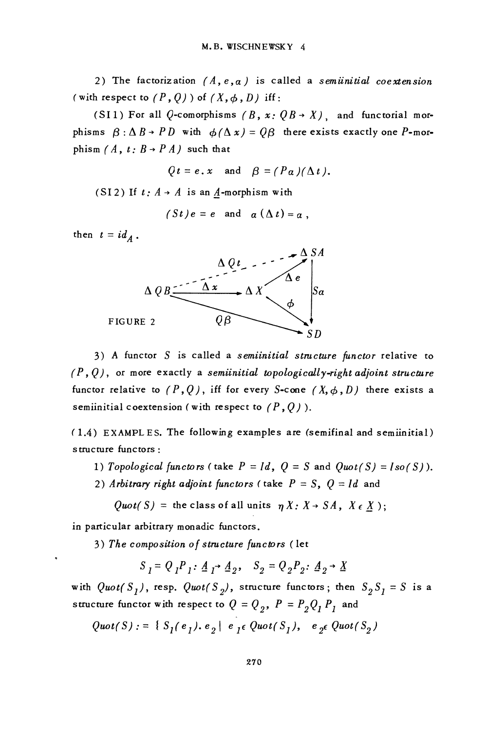2) The factorization  $(A, e, a)$  is called a semiinitial coextension (with respect to  $(P, Q)$ ) of  $(X, \phi, D)$  iff:

(SI1) For all Q-comorphisms  $(B, x: QB \rightarrow X)$ , and functorial morphisms  $\beta : \Delta B \rightarrow PD$  with  $\phi(\Delta x) = QB$  there exists exactly one P-morphism  $(A, t: B \rightarrow PA)$  such that

$$
Qt = e \cdot x
$$
 and  $\beta = (P\alpha)(\Delta t)$ .

(SI2) If  $t: A \rightarrow A$  is an A-morphism with

$$
(St)e = e \quad \text{and} \quad a(\Delta t) = a,
$$

then  $t = id_A$ .



3) A functor S is called a semiinitial structure functor relative to  $(P, Q)$ , or more exactly a semiinitial topologically-right adjoint structure functor relative to  $(P, Q)$ , iff for every S-cone  $(X, \phi, D)$  there exists a semiinitial coextension (with respect to  $(P, Q)$ ).

(1.4) EXAMPLES. The following examples are (semifinal and semiinitial) structure functors:

- 1) Topological functors (take  $P = Id$ ,  $Q = S$  and  $Quot(S) = Iso(S)$ ).
- 2) Arbitrary right adjoint functors (take  $P = S$ ,  $Q = Id$  and
	- Quot(S) = the class of all units  $\eta X: X \rightarrow SA$ ,  $X \in \underline{X}$ );

in particular arbitrary monadic functors.

3) The composition of structure functors (let

$$
S_{1} = Q_{1}P_{1}: \underline{A}_{1} \rightarrow \underline{A}_{2}, \quad S_{2} = Q_{2}P_{2}: \underline{A}_{2} \rightarrow \underline{X}
$$

with  $Quot(S_1)$ , resp.  $Quot(S_2)$ , structure functors; then  $S_2S_1 = S$  is a structure functor with respect to  $Q = Q_2$ ,  $P = P_2 Q_1 P_1$  and

$$
Quot(S) := \{ S_I(e_I), e_2 \mid e_I \in Quot(S_I), e_2 \in Quot(S_2)
$$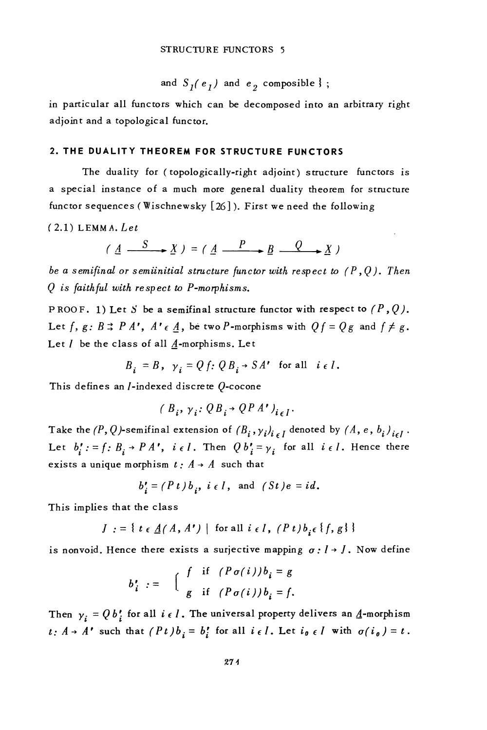and 
$$
S_1(e_1)
$$
 and  $e_2$  composite};

in particular all functors which can be decomposed into an arbitrary right adjoint and a topological functor.

#### 2. THE DUALITY THEOREM FOR STRUCTURE FUNCTORS

The duality for (topologically-right adjoint) structure functors is a special instance of a much more general duality theorem for structure functor sequences (Wischnewsky [26]). First we need the following

 $(2.1)$  LEMMA. Let

 $(A \xrightarrow{S} X) = (A \xrightarrow{P} B \xrightarrow{Q} X)$ 

be a semifinal or semiinitial structure functor with respect to  $(P, Q)$ . Then Q is faithful with respect to P-morphisms.

PROOF. 1) Let S be a semifinal structure functor with respect to  $(P, Q)$ . Let  $f, g: B \rightrightarrows PA'$ ,  $A' \in \underline{A}$ , be two *P*-morphisms with  $Qf = Qg$  and  $f \neq g$ . Let  $I$  be the class of all  $A$ -morphisms. Let

$$
B_i = B, \ \gamma_i = Q f \colon QB_i \to SA'
$$
 for all  $i \in I$ .

This defines an  $I$ -indexed discrete  $O$ -cocone

$$
(B_i, \gamma_i; QB_i \rightarrow QPA')_{i \in I}
$$

Take the  $(P, Q)$ -semifinal extension of  $(B_i, y_i)_{i \in I}$  denoted by  $(A, e, b_i)_{i \in I}$ . Let  $b_i' := f: B_i \rightarrow PA'$ ,  $i \in I$ . Then  $Q b_i' = y_i$  for all  $i \in I$ . Hence there exists a unique morphism  $t : A \rightarrow A$  such that

$$
b'_{i} = (P t) b_{i}, i \in I, \text{ and } (St) e = id.
$$

This implies that the class

 $J := \{ t \in \underline{A}(A, A^*) \mid \text{for all } i \in I, (P t) b_i \in \{f, g\} \}$ 

is nonvoid. Hence there exists a surjective mapping  $\sigma: I \rightarrow J$ . Now define

$$
b'_{i} := \begin{cases} \int & \text{if } (P \sigma(i)) b_{i} = g \\ g & \text{if } (P \sigma(i)) b_{i} = f. \end{cases}
$$

Then  $y_i = Q b_i^*$  for all  $i \in I$ . The universal property delivers an  $\underline{A}$ -morphism  $t: A \rightarrow A'$  such that  $(Pt)b_i = b'_i$  for all  $i \in I$ . Let  $i_0 \in I$  with  $\sigma(i_0) = t$ .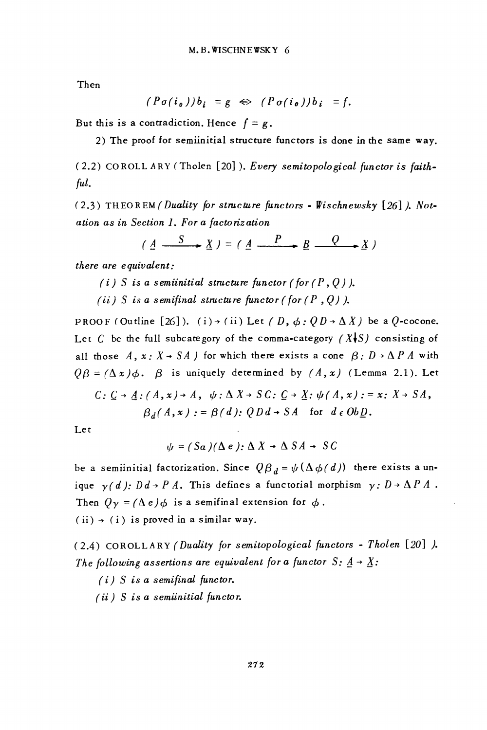Then

$$
(P\sigma(i_{\mathfrak{0}}))b_i = g \Leftrightarrow (P\sigma(i_{\mathfrak{0}}))b_i = f.
$$

But this is a contradiction. Hence  $f = g$ .

2) The proof for semiinitial structure functors is done in the same way.

(2.2) COROLLARY (Tholen [20]). Every semitopological functor is faithful.

(2.3) THEOREM (Duality for structure functors - Wischnewsky [26]). Notation as in Section 1. For a factorization

$$
( \underline{A} \xrightarrow{S} \underline{X} ) = ( \underline{A} \xrightarrow{P} \underline{B} \xrightarrow{Q} \underline{X} )
$$

there are equivalent:

- (i) S is a semiinitial structure functor (for  $(P, Q)$ ).
- (ii) S is a semifinal structure functor (for  $(P, Q)$ ).

PROOF (Outline [26]). (i) + (ii) Let (D,  $\phi$ : QD +  $\Delta X$ ) be a Q-cocone. Let C be the full subcategory of the comma-category  $(X\bigcup S)$  consisting of all those  $A, x: X \rightarrow SA$  for which there exists a cone  $\beta: D \rightarrow \Delta P A$  with  $\theta \beta = (\Delta x) \phi$ .  $\beta$  is uniquely determined by  $(A, x)$  (Lemma 2.1). Let

$$
C: \underline{C} \to \underline{A} : (A, x) \to A, \quad \psi: \Delta X \to SC: \underline{C} \to \underline{X} : \psi(A, x) : = x: X \to SA,
$$

$$
\beta_d(A, x) := \beta(d): QDd \to SA \quad \text{for} \quad d \in Ob \underline{D}.
$$

Let

$$
\psi = (Sa)(\Delta e): \Delta X \rightarrow \Delta SA \rightarrow SC
$$

be a semiinitial factorization. Since  $\left(\frac{\partial \beta}{\partial t} - \psi(\Delta \phi/d)\right)$  there exists a unique  $y(d)$ :  $Dd \rightarrow P A$ . This defines a functorial morphism  $y: D \rightarrow \Delta P A$ . Then  $Q_y = (\Delta e) \phi$  is a semifinal extension for  $\phi$ .  $(ii) \rightarrow (i)$  is proved in a similar way.

(2.4) COROLLARY (Duality for semitopological functors - Tholen [20] ). The following assertions are equivalent for a functor S:  $\underline{A} \rightarrow \underline{X}$ :

- $(i)$  S is a semifinal functor.
- $(ii)$  S is a semiinitial functor.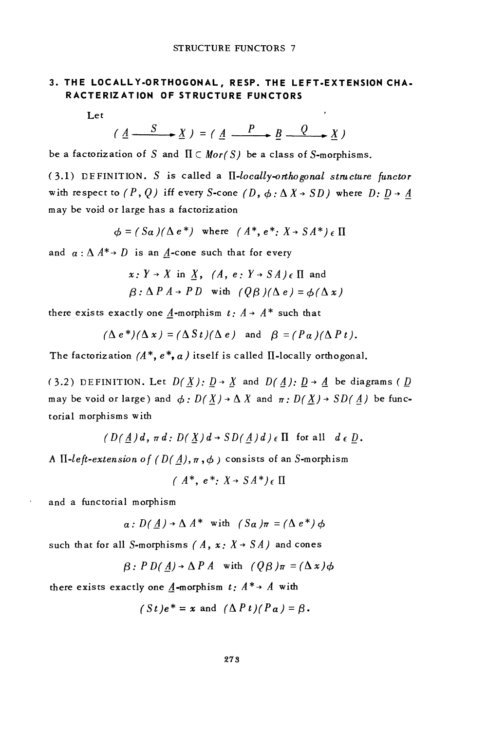#### 3. THE LOCALLY-ORTHOGONAL, RESP. THE LEFT-EXTENSION CHA-RACTERIZATION OF STRUCTURE FUNCTORS

 $\overline{ }$ 

Let

$$
(\underline{A} \xrightarrow{S} \underline{X}) = (\underline{A} \xrightarrow{P} \underline{B} \xrightarrow{Q} \underline{X})
$$

be a factorization of S and  $\Pi \subset Mor(S)$  be a class of S-morphisms.

 $(3.1)$  DEFINITION. S is called a  $\Pi$ -locally-orthogonal structure functor with respect to  $(P, Q)$  iff every S-cone  $(D, \phi: \Delta X \rightarrow SD)$  where  $D: D \rightarrow A$ may be void or large has a factorization

$$
\phi = (Sa)(\Delta e^*) \text{ where } (A^*, e^* : X \to SA^*) \in \Pi
$$

and  $a: \Delta A^* \rightarrow D$  is an A-cone such that for every

$$
x: Y \to X \text{ in } \underline{X}, (A, e: Y \to SA) \in \Pi \text{ and}
$$
  

$$
\beta: \Delta P A \to PD \text{ with } (Q\beta)(\Delta e) = \phi(\Delta x)
$$

there exists exactly one A-morphism  $t: A \rightarrow A^*$  such that

$$
(\Delta e^*) (\Delta x) = (\Delta St)(\Delta e)
$$
 and  $\beta = (P\alpha)(\Delta P t)$ .

The factorization  $(A^*, e^*, a)$  itself is called II-locally orthogonal.

(3.2) DEFINITION. Let  $D(X): D \rightarrow X$  and  $D(A): D \rightarrow A$  be diagrams (D may be void or large) and  $\phi: D(\underline{X}) \rightarrow \Delta X$  and  $\pi: D(\underline{X}) \rightarrow SD(\underline{A})$  be functorial morphisms with

$$
(D(\underline{A})d, \pi d: D(\underline{X})d \rightarrow SD(\underline{A})d) \in \Pi
$$
 for all  $d \in \underline{D}$ .

A II-left-extension of  $(D(A), \pi, \phi)$  consists of an S-morphism

 $(A^*, e^*, X \rightarrow SA^*)_{\epsilon} \Pi$ 

and a functorial morphism

$$
a: D(\underline{A}) \rightarrow \Delta A^*
$$
 with  $(S_{\alpha})\pi = (\Delta e^*) \phi$ 

such that for all S-morphisms (A,  $x: X \rightarrow S A$ ) and cones

$$
\beta: PD(\underline{A}) \to \Delta P A \quad \text{with} \quad (Q\beta)\pi = (\Delta x)\phi
$$

there exists exactly one  $\underline{A}$ -morphism  $t: A^* \rightarrow A$  with

$$
(St)e^* = x
$$
 and  $(\Delta P t)(P\alpha) = \beta$ .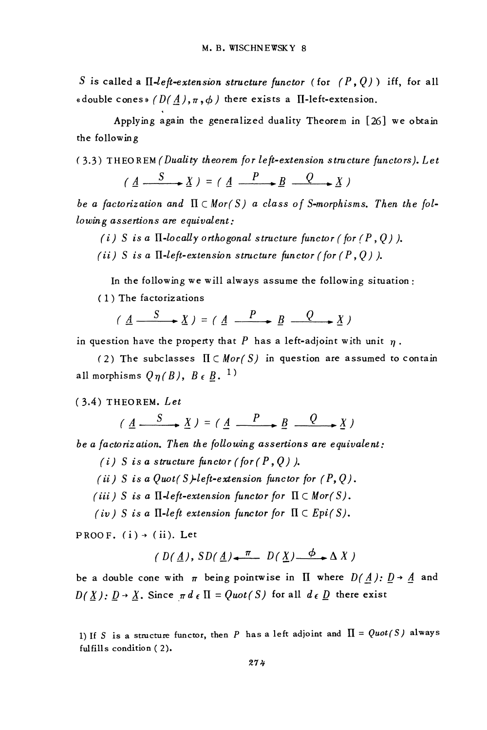S is called a II-left-extension structure functor (for  $(P, Q)$ ) iff, for all «double cones»  $(D(A), \pi, \phi)$  there exists a II-left-extension.

Applying again the generalized duality Theorem in [26] we obtain the following

(3.3) THEOREM (Duality theorem for left-extension structure functors). Let

$$
(\underline{A} \xrightarrow{S} \underline{X}) = (\underline{A} \xrightarrow{P} \underline{B} \xrightarrow{Q} \underline{X})
$$

be a factorization and  $\Pi \subset Mor(S)$  a class of S-morphisms. Then the fol $lowing$  assertions are equivalent:

(i) S is a  $\Pi$ -locally orthogonal structure functor (for  $(P, Q)$ ).

(ii) S is a  $\Pi$ -left-extension structure functor (for (P, Q)).

In the following we will always assume the following situation:

(1) The factorizations

$$
(\underline{A} \xrightarrow{S} \underline{X}) = (\underline{A} \xrightarrow{P} \underline{B} \xrightarrow{Q} \underline{X})
$$

in question have the property that  $P$  has a left-adjoint with unit  $\eta$ .

(2) The subclasses  $\Pi \subset Mor(S)$  in question are assumed to contain all morphisms  $Q_{\eta}(B)$ ,  $B \in B$ . <sup>1</sup>)

#### $(3.4)$  THEOREM. Let

$$
(\underline{A} \xrightarrow{S} \underline{X}) = (\underline{A} \xrightarrow{P} \underline{B} \xrightarrow{Q} \underline{X})
$$

be a factorization. Then the following assertions are equivalent:

- (i) S is a structure functor (for  $(P, Q)$ ).
- (ii) S is a Quot(S)-left-extension functor for  $(P, Q)$ .
- (iii) S is a  $\Pi$ -left-extension functor for  $\Pi \subset Mor(S)$ .
- (iv) S is a  $\Pi$ -left extension functor for  $\Pi \subset Epi(S)$ .

PROOF.  $(i) \rightarrow (ii)$ . Let

$$
(D(\underline{A}), SD(\underline{A}) \stackrel{\pi}{\longleftarrow} D(\underline{X}) \stackrel{\phi}{\longrightarrow} \Delta X)
$$

be a double cone with  $\pi$  being pointwise in  $\Pi$  where  $D(\Lambda): D \rightarrow \Lambda$  and  $D(\underline{X}): \underline{D} \rightarrow \underline{X}$ . Since  $\pi d \in \Pi = Quot(S)$  for all  $d \in \underline{D}$  there exist

<sup>1)</sup> If S is a structure functor, then P has a left adjoint and  $\Pi = Quot(S)$  always fulfills condition (2).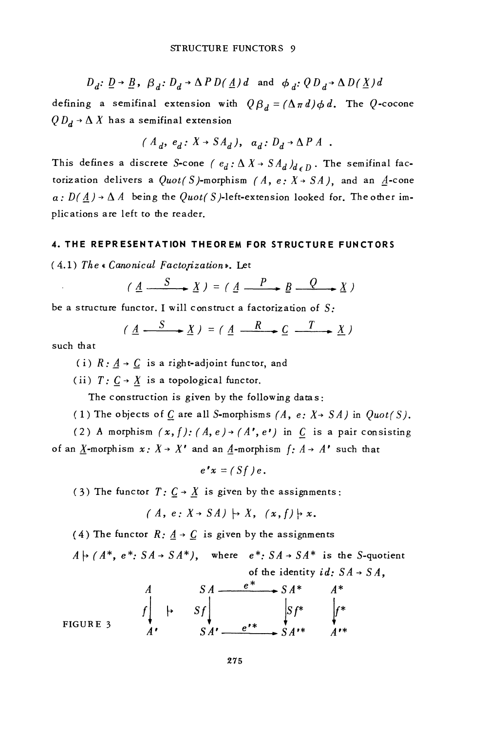$D_d$ :  $\underline{D} \rightarrow \underline{B}$ ,  $\beta_d$ :  $D_d \rightarrow \Delta P D(\underline{A})d$  and  $\phi_d$ :  $Q D_d \rightarrow \Delta D(\underline{X})d$ 

defining a semifinal extension with  $\oint \beta_d = (\Delta \pi d) \phi d$ . The Q-cocone  $Q D_d \rightarrow \Delta X$  has a semifinal extension

$$
(A_d, e_d: X \rightarrow SA_d), a_d: D_d \rightarrow \Delta P A
$$
.

This defines a discrete S-cone ( $e_d : \Delta X \rightarrow SA_d$ )<sub>d o</sub>n. The semifinal factorization delivers a  $Quot(S)$ -morphism (A, e:  $X \rightarrow SA$ ), and an A-cone  $a: D(A) \rightarrow \Delta A$  being the Quot(S)-left-extension looked for. The other implications are left to the reader.

#### 4. THE REPRESENTATION THEOREM FOR STRUCTURE FUNCTORS

(4.1) The « Canonical Factorization». Let

$$
(\underline{A} \xrightarrow{S} \underline{X}) = (\underline{A} \xrightarrow{P} \underline{B} \xrightarrow{Q} \underline{X})
$$

be a structure functor. I will construct a factorization of  $S$ :

$$
(\underline{A} \xrightarrow{S} \underline{X}) = (\underline{A} \xrightarrow{R} \underline{C} \xrightarrow{T} \underline{X})
$$

such that

(i)  $R: \underline{A} \rightarrow \underline{C}$  is a right-adjoint functor, and

(ii)  $T: C \rightarrow X$  is a topological functor.

The construction is given by the following datas:

(1) The objects of  $C$  are all S-morphisms (A, e:  $X \rightarrow SA$ ) in  $Quot(S)$ .

(2) A morphism  $(x, f)$ :  $(A, e)$  +  $(A', e')$  in C is a pair consisting of an X-morphism  $x: X \rightarrow X'$  and an A-morphism  $f: A \rightarrow A'$  such that

$$
e^{\prime}x=(Sf)e.
$$

(3) The functor  $T: C \rightarrow X$  is given by the assignments:

 $(A, e: X \rightarrow SA) \mapsto X, (x, f) \mapsto x.$ 

(4) The functor  $R: A \rightarrow C$  is given by the assignments

 $A \mapsto (A^*, e^*: SA \to SA^*)$ , where  $e^*: SA \to SA^*$  is the S-quotient of the identity  $id: SA \rightarrow SA$ ,

FIGURE 3  

$$
S A \xrightarrow{e^*} S A^* \xrightarrow{A^*} A^*
$$
  

$$
S A \xrightarrow{e^*} S A^* \xrightarrow{A^*} A^*
$$
  

$$
S A' \xrightarrow{e^{**}} S A^{**} \xrightarrow{A^{**}}
$$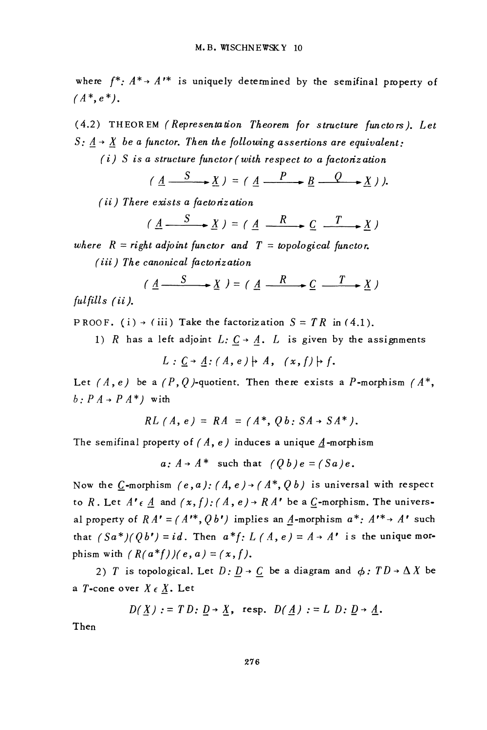where  $f^*$ :  $A^*$  +  $A^*$  is uniquely determined by the semifinal property of  $(A^*, e^*).$ 

(4.2) THEOREM (Representation Theorem for structure functors). Let S:  $\underline{A} \rightarrow \underline{X}$  be a functor. Then the following assertions are equivalent:

 $(i)$  S is a structure functor (with respect to a factorization

$$
(\underline{A} \xrightarrow{S} \underline{X}) = (\underline{A} \xrightarrow{P} \underline{B} \xrightarrow{Q} \underline{X})).
$$

 $(ii)$  There exists a factorization

$$
(\underline{A} \xrightarrow{S} \underline{X}) = (\underline{A} \xrightarrow{R} \underline{C} \xrightarrow{T} \underline{X})
$$

where  $R = right adjoint function and T = topological function.$ (iii) The canonical factorization

$$
(\underline{A} \xrightarrow{S} \underline{X}) = (\underline{A} \xrightarrow{R} \underline{C} \xrightarrow{T} \underline{X})
$$

 $fulfills (ii).$ 

PROOF. (i)  $\rightarrow$  (iii) Take the factorization  $S = TR$  in (4.1).

1) R has a left adjoint  $L: C \rightarrow A$ . L is given by the assignments

 $L: C \rightarrow A: (A, e) \rightarrow A, (x, f) \rightarrow f.$ 

Let  $(A, e)$  be a  $(P, Q)$ -quotient. Then there exists a P-morphism  $(A^*,$  $b: P A \rightarrow P A^*$ ) with

$$
RL(A, e) = RA = (A^*, Qb: SA \rightarrow SA^*).
$$

The semifinal property of  $(A, e)$  induces a unique  $\underline{A}$ -morphism

 $a: A \rightarrow A^*$  such that  $(Ob)e = (Sa)e$ .

Now the C-morphism  $(e, a)$ :  $(A, e) \rightarrow (A^*, Ob)$  is universal with respect to R. Let  $A' \in \underline{A}$  and  $(x, f) : (A, e) \rightarrow RA'$  be a  $\underline{C}$ -morphism. The universal property of  $RA' = (A'^*, Qb')$  implies an A-morphism  $a^*: A'^* \rightarrow A'$  such that  $(Sa^*)(Qb^*) = id$ . Then  $a^*f: L(A, e) = A \rightarrow A^*$  is the unique morphism with  $(R(a*f))/(e, a) = (x, f).$ 

2) T is topological. Let  $D: D \rightarrow C$  be a diagram and  $\phi: TD \rightarrow \Delta X$  be a  $T$ -cone over  $X \in \underline{X}$ . Let

$$
D(X) := TD: D \rightarrow X, \text{ resp. } D(\underline{A}) := L D: \underline{D} \rightarrow \underline{A}.
$$

Then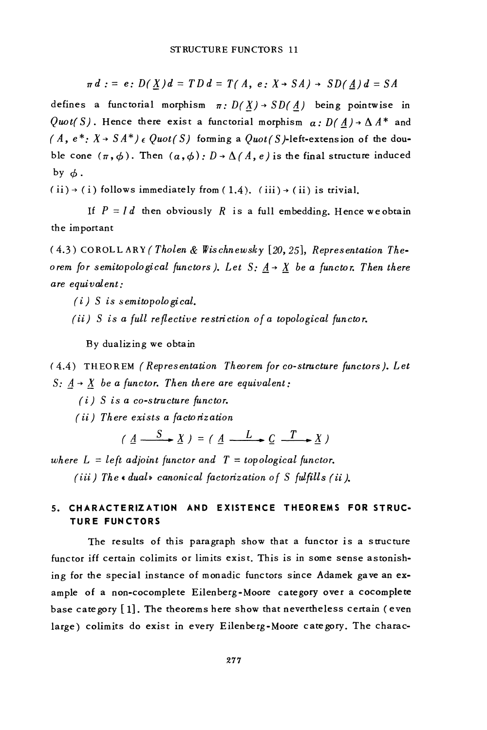$$
\pi d := e : D(\underline{X})d = T D d = T(A, e : X \rightarrow SA) \rightarrow SD(\underline{A})d = SA
$$

defines a functorial morphism  $\pi: D(X) \rightarrow SD(A)$  being pointwise in Quot(S). Hence there exist a functorial morphism  $\alpha : D(\underline{A}) \rightarrow \Delta A^*$  and  $(A, e^*: X \rightarrow S A^*) \in Quot(S)$  forming a  $Quot(S)$ -left-extension of the double cone  $(\pi, \phi)$ . Then  $(a, \phi)$ :  $D \rightarrow \Delta/A$ , e) is the final structure induced by  $\phi$ .

 $(i) \rightarrow (i)$  follows immediately from  $(1.4)$ .  $(iii) \rightarrow (ii)$  is trivial.

If  $P = Id$  then obviously R is a full embedding. Hence we obtain the important

 $(4.3)$  COROLLARY (Tholen & Wischnewsky [20, 25], Representation Theorem for semitopological functors). Let S:  $\underline{A} \rightarrow \underline{X}$  be a functor. Then there are equivalent:

 $(i)$  S is semitopological.

(ii) S is a full reflective restriction of a topological functor.

By dualizing we obtain

(4.4) THEOREM (Representation Theorem for co-structure functors). Let S:  $A \rightarrow X$  be a functor. Then there are equivalent:

 $(i)$  S is a co-structure functor.

(ii) There exists a factorization

$$
(\underline{A} \xrightarrow{S} \underline{X}) = (\underline{A} \xrightarrow{L} \underline{C} \xrightarrow{T} \underline{X})
$$

where  $L = left adjoint function and T = topological functor.$ (iii) The « dual» canonical factorization of S fulfills (ii).

#### 5. CHARACTERIZATION AND EXISTENCE THEOREMS FOR STRUC-**TURE FUNCTORS**

The results of this paragraph show that a functor is a structure functor iff certain colimits or limits exist. This is in some sense astonishing for the special instance of monadic functors since Adamek gave an example of a non-cocomplete Eilenberg-Moore category over a cocomplete base cate gory  $[1]$ . The theorems here show that nevertheless certain (even large) colimits do exist in every Eilenberg-Moore category. The charac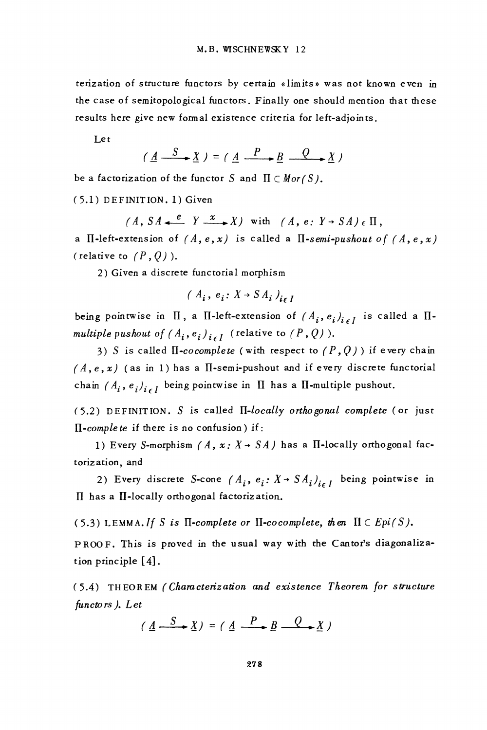terization of structure functors by certain «limits» was not known even in the case of semitopological functors. Finally one should mention that these results here give new formal existence criteria for left-adjoints.

Let

$$
(\underline{A} \xrightarrow{S} \underline{X}) = (\underline{A} \xrightarrow{P} \underline{B} \xrightarrow{Q} \underline{X})
$$

be a factorization of the functor S and  $\Pi \subset Mor(S)$ .

(5.1) DEFINITION. 1) Given

 $(A, SA \xrightarrow{e} Y \xrightarrow{x} X)$  with  $(A, e: Y \rightarrow SA) \in \Pi$ .

a II-left-extension of  $(A, e, x)$  is called a II-semi-pushout of  $(A, e, x)$ (relative to  $(P, Q)$ ).

2) Given a discrete functorial morphism

$$
(A_i, e_i: X \rightarrow SA_i)_{i \in I}
$$

being pointwise in  $\Pi$ , a  $\Pi$ -left-extension of  $(A_i, e_i)_{i \in I}$  is called a  $\Pi$ multiple pushout of  $(A_i, e_i)_{i \in I}$  (relative to  $(P, Q)$ ).

3) S is called II-cocomplete (with respect to  $(P, Q)$ ) if every chain  $(A, e, x)$  (as in 1) has a II-semi-pushout and if every discrete functorial chain  $(A_i, e_i)_{i \in I}$  being pointwise in  $\Pi$  has a  $\Pi$ -multiple pushout.

 $(5.2)$  DEFINITION. S is called  $\Pi$ -locally orthogonal complete (or just  $\Pi$ -complete if there is no confusion) if:

1) Every S-morphism  $(A, x: X \rightarrow SA)$  has a II-locally orthogonal factorization, and

2) Every discrete S-cone  $(A_i, e_i; X \rightarrow SA_i)_{i \in I}$  being pointwise in II has a II-locally orthogonal factorization.

(5.3) LEMMA. If S is  $\Pi$ -complete or  $\Pi$ -cocomplete, then  $\Pi \subset Epi(S)$ .

PROOF. This is proved in the usual way with the Cantor's diagonalization principle  $[4]$ .

(5.4) THEOREM (Characterization and existence Theorem for structure functors). Let

$$
(A \xrightarrow{S} X) = (A \xrightarrow{P} B \xrightarrow{Q} X)
$$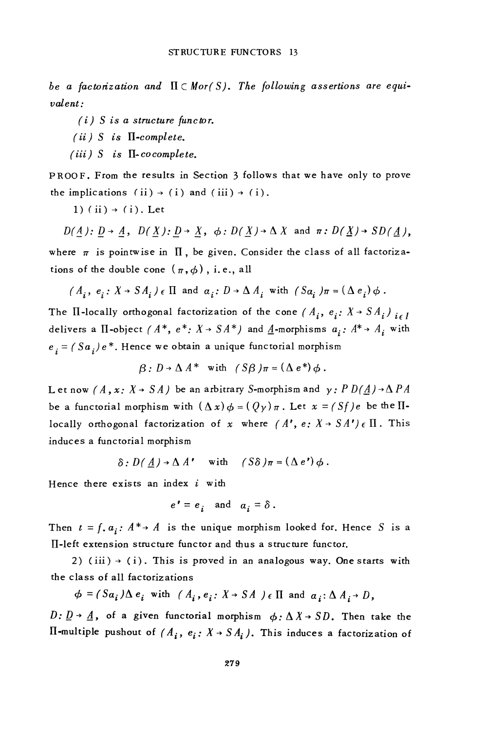be a factorization and  $\Pi \subset Mor(S)$ . The following assertions are equi $value$ 

 $(i)$  S is a structure functor.

- $(ii)$  S is  $\Pi$ -complete.
- $(iii)$  S is  $\Pi$ -cocomplete.

PROOF. From the results in Section 3 follows that we have only to prove the implications (ii)  $\rightarrow$  (i) and (iii)  $\rightarrow$  (i).

1) (ii)  $\rightarrow$  (i). Let

 $D(A): D \rightarrow A$ ,  $D(X): D \rightarrow X$ ,  $\phi: D(X) \rightarrow \Delta X$  and  $\pi: D(X) \rightarrow SD(A)$ , where  $\pi$  is pointwise in  $\Pi$ , be given. Consider the class of all factorizations of the double cone  $(\pi, \phi)$ , i.e., all

$$
(A_i, e_i: X \rightarrow SA_i) \in \Pi
$$
 and  $a_i: D \rightarrow \Delta A_i$  with  $(Sa_i) \pi = (\Delta e_i) \phi$ .

The II-locally orthogonal factorization of the cone  $(A_i, e_i; X \rightarrow SA_i)_{i \in I}$ delivers a II-object (A\*,  $e^*$ :  $X \rightarrow SA^*$ ) and  $\underline{A}$ -morphisms  $a_i$ :  $A^* \rightarrow A_i$  with  $e_i = (Sa_i)e^*$ . Hence we obtain a unique functorial morphism

$$
\beta: D \to \Delta A^* \quad \text{with} \quad (S\beta)\pi = (\Delta e^*) \phi.
$$

Let now  $(A, x: X \rightarrow SA)$  be an arbitrary S-morphism and  $y: PD(\underline{A}) \rightarrow \Delta PA$ be a functorial morphism with  $(\Delta x) \phi = (\mathcal{Q}_y) \pi$ . Let  $x = (Sf)e$  be the IIlocally orthogonal factorization of x where  $(A', e: X \rightarrow SA') \in \Pi$ . This induces a functorial morphism

$$
\delta: D(A) \to \Delta A' \quad \text{with} \quad (S\delta)\pi = (\Delta e')\phi.
$$

Hence there exists an index  $i$  with

$$
e' = e_i \quad \text{and} \quad a_i = \delta.
$$

Then  $t = f_a a_i$ :  $A^* \rightarrow A$  is the unique morphism looked for. Hence S is a II-left extension structure functor and thus a structure functor.

2) (iii)  $\rightarrow$  (i). This is proved in an analogous way. One starts with the class of all factorizations

$$
\phi = (Sa_i) \Delta e_i \text{ with } (A_i, e_i: X \rightarrow SA) \in \Pi \text{ and } a_i: \Delta A_i \rightarrow D,
$$

 $D: \underline{D} \rightarrow \underline{A}$ , of a given functorial morphism  $\phi: \Delta X \rightarrow SD$ . Then take the II-multiple pushout of  $(A_i, e_i: X \rightarrow SA_i)$ . This induces a factorization of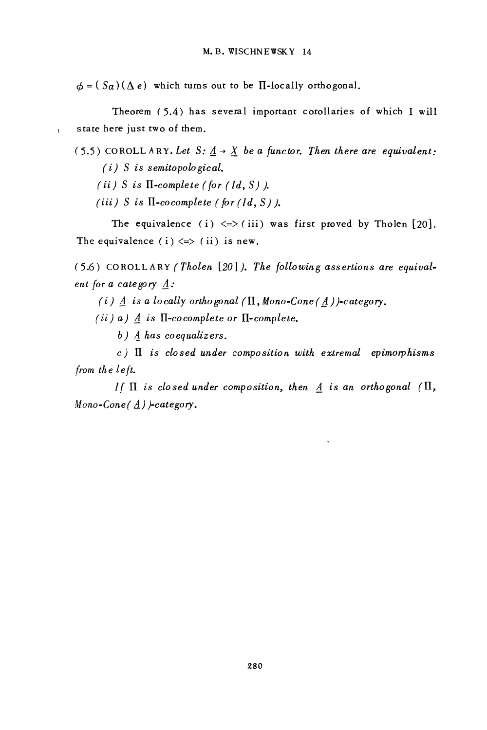$\phi = (S_{\alpha})(\Delta e)$  which turns out to be II-locally orthogonal.

Theorem (5.4) has several important corollaries of which I will state here just two of them.  $\cdot$ 

(5.5) COROLLARY. Let  $S: A \rightarrow X$  be a functor. Then there are equivalent:  $(i)$  S is semitopological.

(ii) S is  $\Pi$ -complete (for ( $Id, S$ )).

(iii) S is  $\Pi$ -cocomplete (for (1d, S)).

The equivalence (i)  $\le$  > (iii) was first proved by Tholen [20]. The equivalence (i)  $\iff$  (ii) is new.

(5.6) COROLLARY (Tholen [20]). The following assertions are equivalent for a category  $A$ :

(i)  $\underline{A}$  is a locally orthogonal ( $\Pi$ , Mono-Cone( $\underline{A}$ ))-category.

(ii) a)  $\underline{A}$  is  $\Pi$ -cocomplete or  $\Pi$ -complete.

 $b)$  A has coequalizers.

 $c$ )  $\overline{a}$  is closed under composition with extremal epimorphisms from the left.

If  $\Pi$  is closed under composition, then  $\underline{A}$  is an orthogonal ( $\Pi$ , Mono-Cone( $\underline{A}$ ) )-category.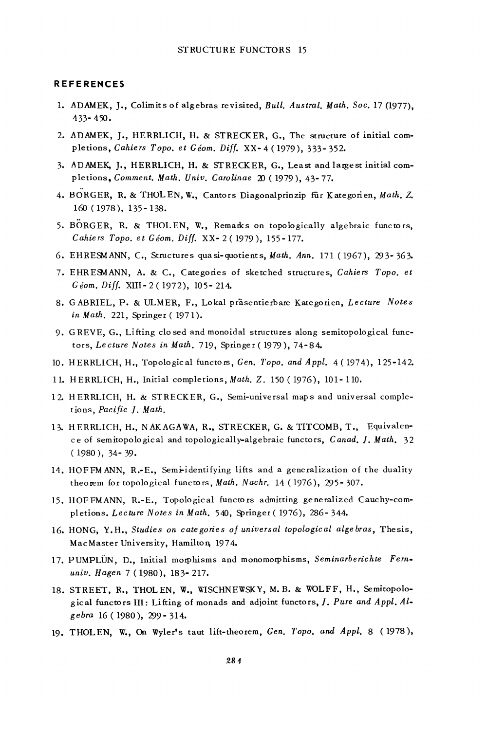#### **REFERENCES**

- 1. ADAMEK, J., Colimits of algebras revisited, Bull, Austral, Math. Soc. 17 (1977),  $433 - 450.$
- 2. ADAMEK, J., HERRLICH, H. & STRECKER, G., The structure of initial completions, Cahiers Topo. et Géom. Diff. XX-4 (1979), 333-352.
- 3. ADAMEK, J., HERRLICH, H. & STRECKER, G., Least and largest initial completions, Comment. Math. Univ. Carolinae 20 (1979), 43-77.
- 4. BORGER, R. & THOLEN, W., Cantors Diagonalprinzip für Kategorien, Math. Z. 160 (1978), 135 - 138.
- 5. BORGER, R. & THOLEN, W., Remarks on topologically algebraic functors, Cahiers Topo. et Géom. Diff. XX-2(1979), 155-177.
- 6. EHRESMANN, C., Structures quasi-quotients, Math. Ann. 171 (1967), 293-363.
- 7. EHRESMANN, A. & C., Categories of sketched structures, Cahiers Topo. et Géom. Diff. XIII-2(1972), 105-214.
- 8. GABRIEL, P. & ULMER, F., Lokal präsentierbare Kategorien, Lecture Notes in Math. 221, Springer (1971).
- 9. GREVE, G., Lifting closed and monoidal structures along semitopological functors, Lecture Notes in Math. 719, Springer (1979), 74-84.
- 10. HERRLICH, H., Topological functors, Gen. Topo. and Appl. 4 (1974), 125-142.
- 11. HERRLICH, H., Initial completions, Math. Z. 150 (1976), 101-110.
- 12. HERRLICH, H. & STRECKER, G., Semi-universal maps and universal completions, Pacific J. Math.
- 13. HERRLICH, H., NAKAGAWA, R., STRECKER, G. & TITCOMB, T., Equivalence of semitopological and topologically-algebraic functors, Canad. J. Math. 32  $(1980)$ , 34 - 39.
- 14. HOFFMANN, R.-E., Semi-identifying lifts and a generalization of the duality theorem for topological functors, Math. Nachr. 14 (1976), 295-307.
- 15. HOFFMANN, R.-E., Topological functors admitting generalized Cauchy-completions. Lecture Notes in Math. 540, Springer (1976), 286-344.
- 16. HONG, Y.H., Studies on categories of universal topological algebras, Thesis, MacMaster University, Hamilton, 1974.
- 17. PUMPLUN, D., Initial morphisms and monomorphisms, Seminarberichte Fernuniv. Hagen 7 (1980), 183-217.
- 18. STREET, R., THOLEN, W., WISCHNEWSKY, M.B. & WOLFF, H., Semitopological functors III: Lifting of monads and adjoint functors, J. Pure and Appl. Algebra 16 (1980), 299 - 314.
- 19. THOLEN, W., On Wyler's taut lift-theorem, Gen. Topo. and Appl. 8 (1978),